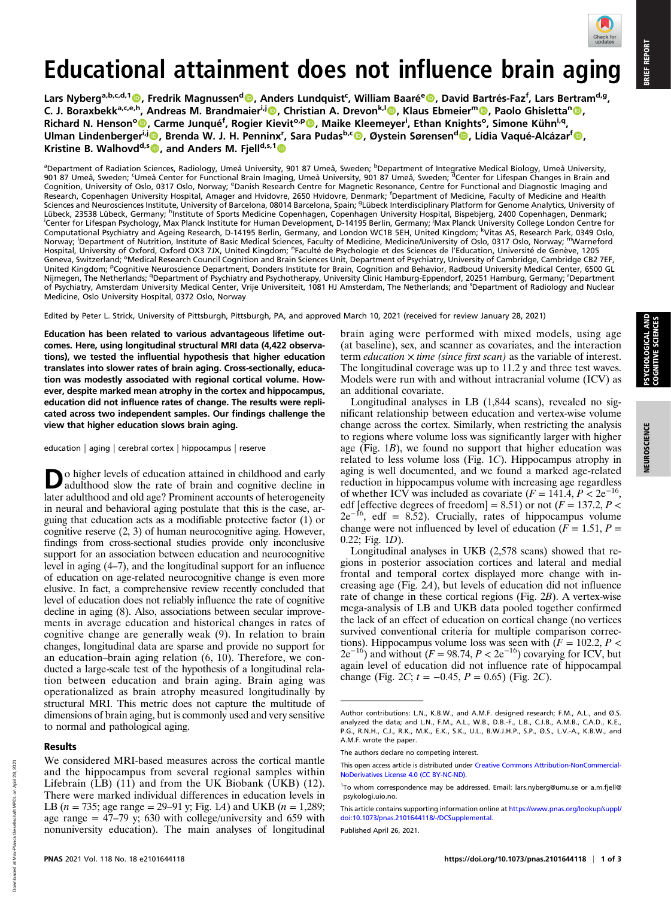## Educational attainment does not influence brain aging

Lars Nyberg<sup>a,b,c,d,1</sup>®, Fredrik Magnussen<sup>d</sup>®, Anders Lundquist<sup>c</sup>, William Baaré<sup>e</sup>®, David Bartrés-Faz<sup>f</sup>, Lars Bertram<sup>d,g</sup>, C. J. Boraxbekk<sup>a,c,e,h</sup>, Andreas M. Brandmaier<sup>i,j</sup> D, Christian A. Drevon<sup>k, I</sup> D, Klaus Ebmeier<sup>m</sup> D, Paolo Ghisletta<sup>n</sup> D, Richard N. Henson<sup>o</sup> ©, Carme Junqué<sup>f</sup>, Rogier Kievit<sup>o,p</sup> ©, Maike Kleemeyer<sup>i</sup>, Ethan Knights<sup>o</sup>, Simone Kühn<sup>i,q</sup>, Ulman Lindenberger<sup>i,j</sup> (D, Brenda W. J. H. Penninx<sup>r</sup>, Sara Pudas<sup>b,c</sup> (D, Øystein Sørensen<sup>d</sup> (D, Lídia Vaqué-Alcázar<sup>f</sup> (D, Kristine B. Walhovd<sup>d,s</sup> $\bullet$ , and Anders M. Fiell<sup>d,s,1</sup> $\bullet$ 

<sup>a</sup>Department of Radiation Sciences, Radiology, Umeå University, 901 87 Umeå, Sweden; <sup>b</sup>Department of Integrative Medical Biology, Umeå University, 901 87 Umeå, Sweden; <sup>c</sup>Umeå Center for Functional Brain Imaging, Umeå University, 901 87 Umeå, Sweden; <sup>d</sup>Center for Lifespan Changes in Brain and Cognition, University of Oslo, 0317 Oslo, Norway; <sup>e</sup>Danish Research Centre for Magnetic Resonance, Centre for Functional and Diagnostic Imaging and<br>Research, Copenhagen University Hospital, Amager and Hvidovre, 2650 Hvido Sciences and Neurosciences Institute, University of Barcelona, 08014 Barcelona, Spain; <sup>9</sup>Lübeck Interdisciplinary Platform for Genome Analytics, University of<br>Lübeck, 23538 Lübeck, Germany; <sup>h</sup>institute of Sports Medicine .<br>'Center for Lifespan Psychology, Max Planck Institute for Human Development, D-14195 Berlin, Germany, <sup>i</sup>Max Planck University College London Centre for<br>Computational Psychiatry and Ageing Research, D-14195 Berlin, Germa Norway; Department of Nutrition, Institute of Basic Medical Sciences, Faculty of Medicine, Medicine/University of Oslo, 0317 Oslo, Norway; <sup>m</sup>Warneford Hospital, University of Oxford, Oxford OX3 7JX, United Kingdom; "Faculté de Psychologie et des Sciences de l'Education, Université de Genève, 1205 Geneva, Switzerland; <sup>o</sup>Medical Research Council Cognition and Brain Sciences Unit, Department of Psychiatry, University of Cambridge, Cambridge CB2 7EF, United Kingdom; <sup>p</sup>Cognitive Neuroscience Department, Donders Institute for Brain, Cognition and Behavior, Radboud University Medical Center, 6500 GL Nijmegen, The Netherlands; <sup>q</sup>Department of Psychiatry and Psychotherapy, University Clinic Hamburg-Eppendorf, 20251 Hamburg, Germany; <sup>r</sup>Department of Psychiatry, Amsterdam University Medical Center, Vrije Universiteit, 1081 HJ Amsterdam, The Netherlands; and <sup>s</sup> Department of Radiology and Nuclear Medicine, Oslo University Hospital, 0372 Oslo, Norway

Edited by Peter L. Strick, University of Pittsburgh, Pittsburgh, PA, and approved March 10, 2021 (received for review January 28, 2021)

Education has been related to various advantageous lifetime outcomes. Here, using longitudinal structural MRI data (4,422 observations), we tested the influential hypothesis that higher education translates into slower rates of brain aging. Cross-sectionally, education was modestly associated with regional cortical volume. However, despite marked mean atrophy in the cortex and hippocampus, education did not influence rates of change. The results were replicated across two independent samples. Our findings challenge the view that higher education slows brain aging.

education | aging | cerebral cortex | hippocampus | reserve

o higher levels of education attained in childhood and early adulthood slow the rate of brain and cognitive decline in later adulthood and old age? Prominent accounts of heterogeneity in neural and behavioral aging postulate that this is the case, arguing that education acts as a modifiable protective factor (1) or cognitive reserve (2, 3) of human neurocognitive aging. However, findings from cross-sectional studies provide only inconclusive support for an association between education and neurocognitive level in aging (4–7), and the longitudinal support for an influence of education on age-related neurocognitive change is even more elusive. In fact, a comprehensive review recently concluded that level of education does not reliably influence the rate of cognitive decline in aging (8). Also, associations between secular improvements in average education and historical changes in rates of cognitive change are generally weak (9). In relation to brain changes, longitudinal data are sparse and provide no support for an education–brain aging relation (6, 10). Therefore, we conducted a large-scale test of the hypothesis of a longitudinal relation between education and brain aging. Brain aging was operationalized as brain atrophy measured longitudinally by structural MRI. This metric does not capture the multitude of dimensions of brain aging, but is commonly used and very sensitive to normal and pathological aging.

## Results

We considered MRI-based measures across the cortical mantle and the hippocampus from several regional samples within Lifebrain (LB) (11) and from the UK Biobank (UKB) (12). There were marked individual differences in education levels in LB ( $n = 735$ ; age range = 29–91 y; Fig. 1A) and UKB ( $n = 1,289$ ; age range  $= 47-79$  y; 630 with college/university and 659 with nonuniversity education). The main analyses of longitudinal brain aging were performed with mixed models, using age (at baseline), sex, and scanner as covariates, and the interaction term *education*  $\times$  *time* (*since first scan*) as the variable of interest. The longitudinal coverage was up to 11.2 y and three test waves. Models were run with and without intracranial volume (ICV) as an additional covariate.

Longitudinal analyses in LB (1,844 scans), revealed no significant relationship between education and vertex-wise volume change across the cortex. Similarly, when restricting the analysis to regions where volume loss was significantly larger with higher age (Fig. 1B), we found no support that higher education was related to less volume loss (Fig. 1C). Hippocampus atrophy in aging is well documented, and we found a marked age-related reduction in hippocampus volume with increasing age regardless of whether ICV was included as covariate  $(F = 141.4, P < 2e^{-16})$ , edf [effective degrees of freedom] = 8.51) or not ( $F = 137.2, P <$  $2e^{-16}$ , edf = 8.52). Crucially, rates of hippocampus volume change were not influenced by level of education ( $F = 1.51$ ,  $P =$ 0.22; Fig. 1D).

Longitudinal analyses in UKB (2,578 scans) showed that regions in posterior association cortices and lateral and medial frontal and temporal cortex displayed more change with increasing age (Fig. 2A), but levels of education did not influence rate of change in these cortical regions (Fig. 2B). A vertex-wise mega-analysis of LB and UKB data pooled together confirmed the lack of an effect of education on cortical change (no vertices survived conventional criteria for multiple comparison corrections). Hippocampus volume loss was seen with  $(F = 102.2, P <$  $2e^{-16}$ ) and without ( $F = 98.74$ ,  $P < 2e^{-16}$ ) covarying for ICV, but again level of education did not influence rate of hippocampal change (Fig. 2C;  $t = -0.45$ ,  $P = 0.65$ ) (Fig. 2C).

Published April 26, 2021.

Author contributions: L.N., K.B.W., and A.M.F. designed research; F.M., A.L., and Ø.S. analyzed the data; and L.N., F.M., A.L., W.B., D.B.-F., L.B., C.J.B., A.M.B., C.A.D., K.E., P.G., R.N.H., C.J., R.K., M.K., E.K., S.K., U.L., B.W.J.H.P., S.P., Ø.S., L.V.-A., K.B.W., and A.M.F. wrote the paper.

The authors declare no competing interest.

This open access article is distributed under [Creative Commons Attribution-NonCommercial-](https://creativecommons.org/licenses/by-nc-nd/4.0/)[NoDerivatives License 4.0 \(CC BY-NC-ND\).](https://creativecommons.org/licenses/by-nc-nd/4.0/)

<sup>&</sup>lt;sup>1</sup>To whom correspondence may be addressed. Email: [lars.nyberg@umu.se](mailto:lars.nyberg@umu.se) or [a.m.fjell@](mailto:a.m.fjell@psykologi.uio.no) [psykologi.uio.no.](mailto:a.m.fjell@psykologi.uio.no)

This article contains supporting information online at [https://www.pnas.org/lookup/suppl/](https://www.pnas.org/lookup/suppl/doi:10.1073/pnas.2101644118/-/DCSupplemental) [doi:10.1073/pnas.2101644118/-/DCSupplemental.](https://www.pnas.org/lookup/suppl/doi:10.1073/pnas.2101644118/-/DCSupplemental)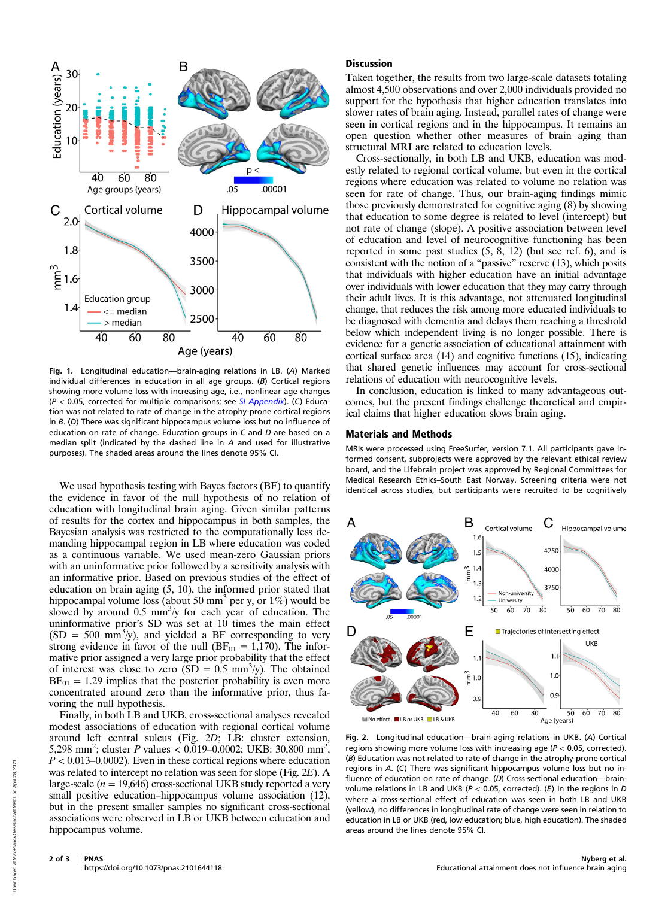

Fig. 1. Longitudinal education—brain-aging relations in LB. (A) Marked individual differences in education in all age groups. (B) Cortical regions showing more volume loss with increasing age, i.e., nonlinear age changes  $(P < 0.05$ , corrected for multiple comparisons; see *[SI Appendix](https://www.pnas.org/lookup/suppl/doi:10.1073/pnas.2101644118/-/DCSupplemental)*). (C) Education was not related to rate of change in the atrophy-prone cortical regions in B. (D) There was significant hippocampus volume loss but no influence of education on rate of change. Education groups in C and D are based on a median split (indicated by the dashed line in A and used for illustrative purposes). The shaded areas around the lines denote 95% CI.

We used hypothesis testing with Bayes factors (BF) to quantify the evidence in favor of the null hypothesis of no relation of education with longitudinal brain aging. Given similar patterns of results for the cortex and hippocampus in both samples, the Bayesian analysis was restricted to the computationally less demanding hippocampal region in LB where education was coded as a continuous variable. We used mean-zero Gaussian priors with an uninformative prior followed by a sensitivity analysis with an informative prior. Based on previous studies of the effect of education on brain aging (5, 10), the informed prior stated that hippocampal volume loss (about 50 mm<sup>3</sup> per y, or  $1\%$ ) would be slowed by around  $0.5 \text{ mm}^3$ /y for each year of education. The uninformative prior's SD was set at 10 times the main effect  $(SD = 500 \text{ mm}^3\text{/y})$ , and yielded a BF corresponding to very strong evidence in favor of the null ( $BF_{01} = 1,170$ ). The informative prior assigned a very large prior probability that the effect of interest was close to zero  $(SD = 0.5 \text{ mm}^3/\text{y})$ . The obtained  $BF_{01} = 1.29$  implies that the posterior probability is even more concentrated around zero than the informative prior, thus favoring the null hypothesis.

Finally, in both LB and UKB, cross-sectional analyses revealed modest associations of education with regional cortical volume around left central sulcus (Fig. 2D; LB: cluster extension, 5,298 mm<sup>2</sup>; cluster P values < 0.019-0.0002; UKB: 30,800 mm<sup>2</sup>,  $P < 0.013 - 0.0002$ ). Even in these cortical regions where education was related to intercept no relation was seen for slope (Fig. 2E). A large-scale ( $n = 19,646$ ) cross-sectional UKB study reported a very small positive education–hippocampus volume association (12), but in the present smaller samples no significant cross-sectional associations were observed in LB or UKB between education and hippocampus volume.

## **Discussion**

Taken together, the results from two large-scale datasets totaling almost 4,500 observations and over 2,000 individuals provided no support for the hypothesis that higher education translates into slower rates of brain aging. Instead, parallel rates of change were seen in cortical regions and in the hippocampus. It remains an open question whether other measures of brain aging than structural MRI are related to education levels.

Cross-sectionally, in both LB and UKB, education was modestly related to regional cortical volume, but even in the cortical regions where education was related to volume no relation was seen for rate of change. Thus, our brain-aging findings mimic those previously demonstrated for cognitive aging (8) by showing that education to some degree is related to level (intercept) but not rate of change (slope). A positive association between level of education and level of neurocognitive functioning has been reported in some past studies (5, 8, 12) (but see ref. 6), and is consistent with the notion of a "passive" reserve (13), which posits that individuals with higher education have an initial advantage over individuals with lower education that they may carry through their adult lives. It is this advantage, not attenuated longitudinal change, that reduces the risk among more educated individuals to be diagnosed with dementia and delays them reaching a threshold below which independent living is no longer possible. There is evidence for a genetic association of educational attainment with cortical surface area (14) and cognitive functions (15), indicating that shared genetic influences may account for cross-sectional relations of education with neurocognitive levels.

In conclusion, education is linked to many advantageous outcomes, but the present findings challenge theoretical and empirical claims that higher education slows brain aging.

## Materials and Methods

MRIs were processed using FreeSurfer, version 7.1. All participants gave informed consent, subprojects were approved by the relevant ethical review board, and the Lifebrain project was approved by Regional Committees for Medical Research Ethics–South East Norway. Screening criteria were not identical across studies, but participants were recruited to be cognitively



Fig. 2. Longitudinal education—brain-aging relations in UKB. (A) Cortical regions showing more volume loss with increasing age ( $P < 0.05$ , corrected). (B) Education was not related to rate of change in the atrophy-prone cortical regions in A. (C) There was significant hippocampus volume loss but no influence of education on rate of change. (D) Cross-sectional education—brainvolume relations in LB and UKB ( $P < 0.05$ , corrected). (E) In the regions in D where a cross-sectional effect of education was seen in both LB and UKB (yellow), no differences in longitudinal rate of change were seen in relation to education in LB or UKB (red, low education; blue, high education). The shaded areas around the lines denote 95% CI.